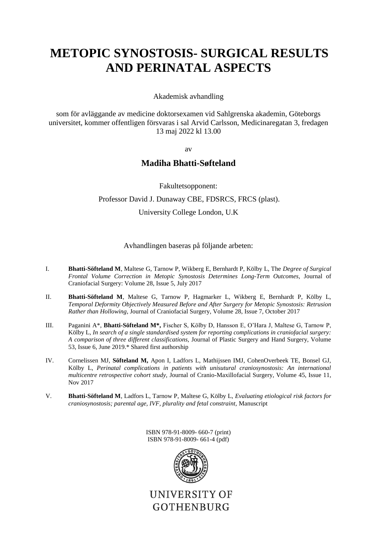# **METOPIC SYNOSTOSIS- SURGICAL RESULTS AND PERINATAL ASPECTS**

Akademisk avhandling

som för avläggande av medicine doktorsexamen vid Sahlgrenska akademin, Göteborgs universitet, kommer offentligen försvaras i sal Arvid Carlsson, Medicinaregatan 3, fredagen 13 maj 2022 kl 13.00

av

### **Madiha Bhatti-Søfteland**

Fakultetsopponent:

#### Professor David J. Dunaway CBE, FDSRCS, FRCS (plast).

University College London, U.K

Avhandlingen baseras på följande arbeten:

- I. **Bhatti-Söfteland M**, Maltese G, Tarnow P, Wikberg E, Bernhardt P, Kölby L, The *Degree of Surgical Frontal Volume Correction in Metopic Synostosis Determines Long-Term Outcomes*, Journal of Craniofacial Surgery: Volume 28, Issue 5, July 2017
- II. **Bhatti-Söfteland M**, Maltese G, Tarnow P, Hagmarker L, Wikberg E, Bernhardt P, Kölby L, *Temporal Deformity Objectively Measured Before and After Surgery for Metopic Synostosis: Retrusion Rather than Hollowing*, Journal of Craniofacial Surgery, Volume 28, Issue 7, October 2017
- III. Paganini A\*, **Bhatti-Söfteland M\*,** Fischer S, Kölby D, Hansson E, O'Hara J, Maltese G, Tarnow P, Kölby L, *In search of a single standardised system for reporting complications in craniofacial surgery: A comparison of three different classifications,* Journal of Plastic Surgery and Hand Surgery, Volume 53, Issue 6, June 2019.\* Shared first authorship
- IV. Cornelissen MJ, **Söfteland M,** Apon I, Ladfors L, Mathijssen IMJ, CohenOverbeek TE, Bonsel GJ, Kölby L, *Perinatal complications in patients with unisutural craniosynostosis: An international multicentre retrospective cohort study,* Journal of Cranio-Maxillofacial Surgery, Volume 45, Issue 11, Nov 2017
- V. **Bhatti-Söfteland M**, Ladfors L, Tarnow P, Maltese G, Kölby L, *Evaluating etiological risk factors for craniosynostosis; parental age, IVF, plurality and fetal constraint,* Manuscript

ISBN 978-91-8009- 660-7 (print) ISBN 978-91-8009- 661-4 (pdf)



UNIVERSITY OF **GOTHENBURG**